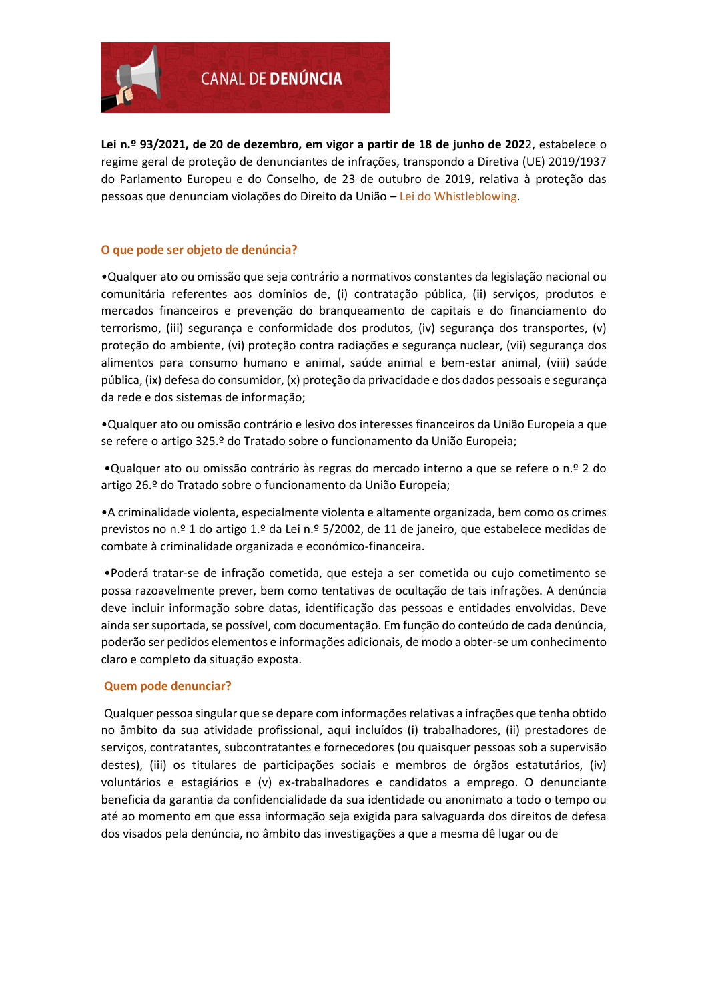

**Lei n.º 93/2021, de 20 de dezembro, em vigor a partir de 18 de junho de 202**2, estabelece o regime geral de proteção de denunciantes de infrações, transpondo a Diretiva (UE) 2019/1937 do Parlamento Europeu e do Conselho, de 23 de outubro de 2019, relativa à proteção das pessoas que denunciam violações do Direito da União – Lei do Whistleblowing.

# **O que pode ser objeto de denúncia?**

•Qualquer ato ou omissão que seja contrário a normativos constantes da legislação nacional ou comunitária referentes aos domínios de, (i) contratação pública, (ii) serviços, produtos e mercados financeiros e prevenção do branqueamento de capitais e do financiamento do terrorismo, (iii) segurança e conformidade dos produtos, (iv) segurança dos transportes, (v) proteção do ambiente, (vi) proteção contra radiações e segurança nuclear, (vii) segurança dos alimentos para consumo humano e animal, saúde animal e bem-estar animal, (viii) saúde pública, (ix) defesa do consumidor, (x) proteção da privacidade e dos dados pessoais e segurança da rede e dos sistemas de informação;

•Qualquer ato ou omissão contrário e lesivo dos interesses financeiros da União Europeia a que se refere o artigo 325.º do Tratado sobre o funcionamento da União Europeia;

•Qualquer ato ou omissão contrário às regras do mercado interno a que se refere o n.º 2 do artigo 26.º do Tratado sobre o funcionamento da União Europeia;

•A criminalidade violenta, especialmente violenta e altamente organizada, bem como os crimes previstos no n.º 1 do artigo 1.º da Lei n.º 5/2002, de 11 de janeiro, que estabelece medidas de combate à criminalidade organizada e económico-financeira.

•Poderá tratar-se de infração cometida, que esteja a ser cometida ou cujo cometimento se possa razoavelmente prever, bem como tentativas de ocultação de tais infrações. A denúncia deve incluir informação sobre datas, identificação das pessoas e entidades envolvidas. Deve ainda ser suportada, se possível, com documentação. Em função do conteúdo de cada denúncia, poderão ser pedidos elementos e informações adicionais, de modo a obter-se um conhecimento claro e completo da situação exposta.

## **Quem pode denunciar?**

Qualquer pessoa singular que se depare com informações relativas a infrações que tenha obtido no âmbito da sua atividade profissional, aqui incluídos (i) trabalhadores, (ii) prestadores de serviços, contratantes, subcontratantes e fornecedores (ou quaisquer pessoas sob a supervisão destes), (iii) os titulares de participações sociais e membros de órgãos estatutários, (iv) voluntários e estagiários e (v) ex-trabalhadores e candidatos a emprego. O denunciante beneficia da garantia da confidencialidade da sua identidade ou anonimato a todo o tempo ou até ao momento em que essa informação seja exigida para salvaguarda dos direitos de defesa dos visados pela denúncia, no âmbito das investigações a que a mesma dê lugar ou de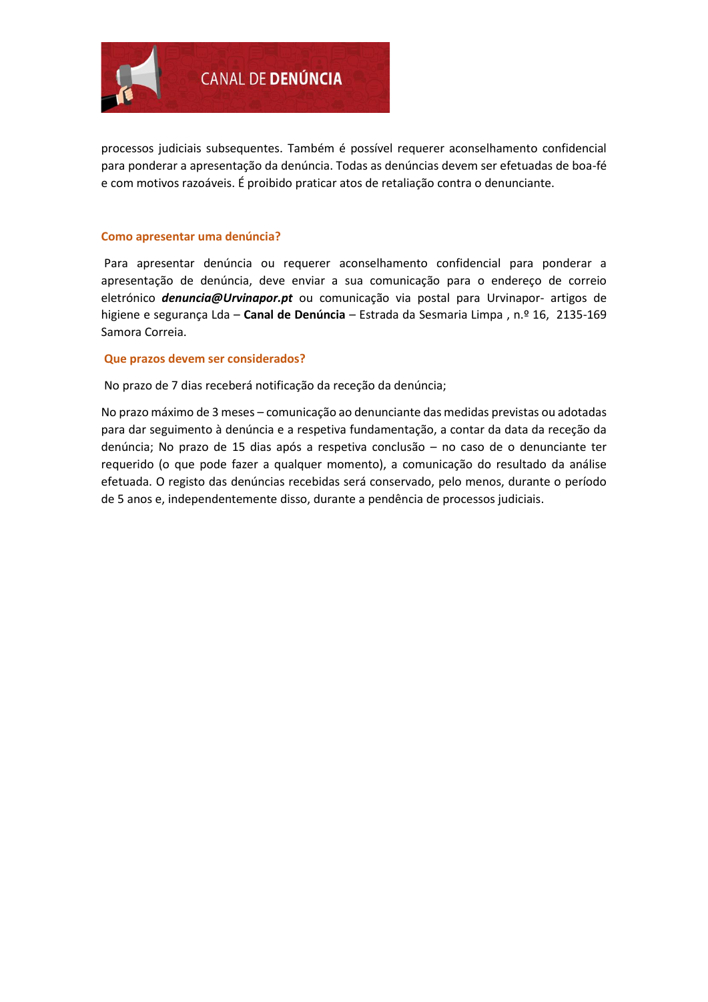

processos judiciais subsequentes. Também é possível requerer aconselhamento confidencial para ponderar a apresentação da denúncia. Todas as denúncias devem ser efetuadas de boa-fé e com motivos razoáveis. É proibido praticar atos de retaliação contra o denunciante.

#### **Como apresentar uma denúncia?**

Para apresentar denúncia ou requerer aconselhamento confidencial para ponderar a apresentação de denúncia, deve enviar a sua comunicação para o endereço de correio eletrónico *denuncia@Urvinapor.pt* ou comunicação via postal para Urvinapor- artigos de higiene e segurança Lda – **Canal de Denúncia** – Estrada da Sesmaria Limpa , n.º 16, 2135-169 Samora Correia.

### **Que prazos devem ser considerados?**

No prazo de 7 dias receberá notificação da receção da denúncia;

No prazo máximo de 3 meses – comunicação ao denunciante das medidas previstas ou adotadas para dar seguimento à denúncia e a respetiva fundamentação, a contar da data da receção da denúncia; No prazo de 15 dias após a respetiva conclusão – no caso de o denunciante ter requerido (o que pode fazer a qualquer momento), a comunicação do resultado da análise efetuada. O registo das denúncias recebidas será conservado, pelo menos, durante o período de 5 anos e, independentemente disso, durante a pendência de processos judiciais.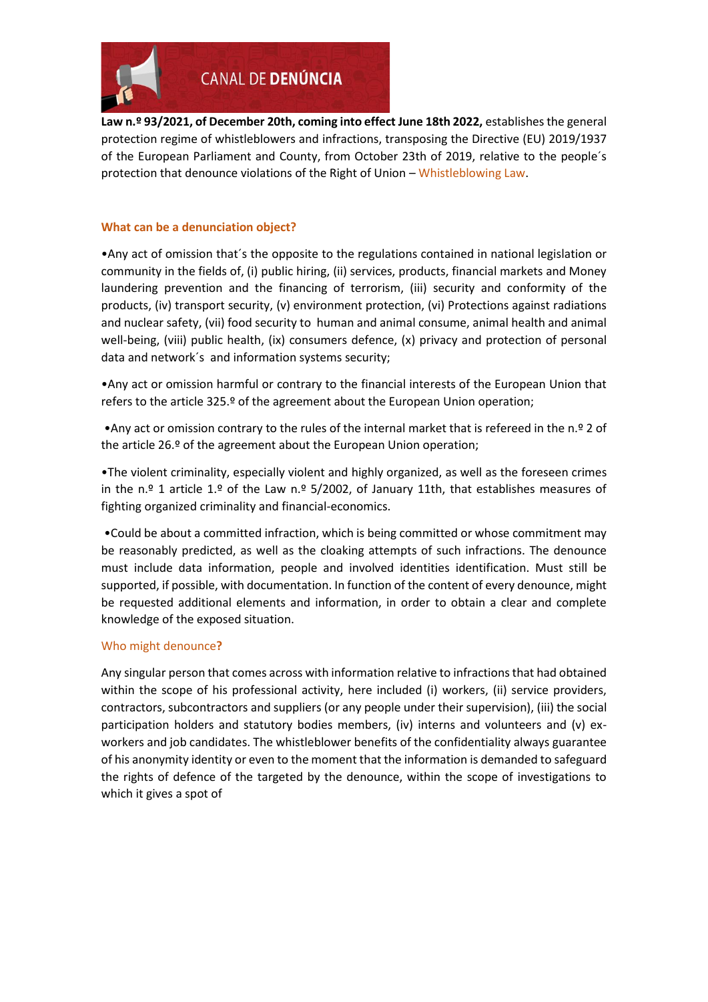

**Law n.º 93/2021, of December 20th, coming into effect June 18th 2022,** establishes the general protection regime of whistleblowers and infractions, transposing the Directive (EU) 2019/1937 of the European Parliament and County, from October 23th of 2019, relative to the people´s protection that denounce violations of the Right of Union – Whistleblowing Law.

# **What can be a denunciation object?**

•Any act of omission that´s the opposite to the regulations contained in national legislation or community in the fields of, (i) public hiring, (ii) services, products, financial markets and Money laundering prevention and the financing of terrorism, (iii) security and conformity of the products, (iv) transport security, (v) environment protection, (vi) Protections against radiations and nuclear safety, (vii) food security to human and animal consume, animal health and animal well-being, (viii) public health, (ix) consumers defence, (x) privacy and protection of personal data and network´s and information systems security;

•Any act or omission harmful or contrary to the financial interests of the European Union that refers to the article 325.º of the agreement about the European Union operation;

•Any act or omission contrary to the rules of the internal market that is refereed in the n.º 2 of the article 26.º of the agreement about the European Union operation;

•The violent criminality, especially violent and highly organized, as well as the foreseen crimes in the n.º 1 article 1.º of the Law n.º 5/2002, of January 11th, that establishes measures of fighting organized criminality and financial-economics.

•Could be about a committed infraction, which is being committed or whose commitment may be reasonably predicted, as well as the cloaking attempts of such infractions. The denounce must include data information, people and involved identities identification. Must still be supported, if possible, with documentation. In function of the content of every denounce, might be requested additional elements and information, in order to obtain a clear and complete knowledge of the exposed situation.

## Who might denounce**?**

Any singular person that comes across with information relative to infractions that had obtained within the scope of his professional activity, here included (i) workers, (ii) service providers, contractors, subcontractors and suppliers (or any people under their supervision), (iii) the social participation holders and statutory bodies members, (iv) interns and volunteers and (v) exworkers and job candidates. The whistleblower benefits of the confidentiality always guarantee of his anonymity identity or even to the moment that the information is demanded to safeguard the rights of defence of the targeted by the denounce, within the scope of investigations to which it gives a spot of